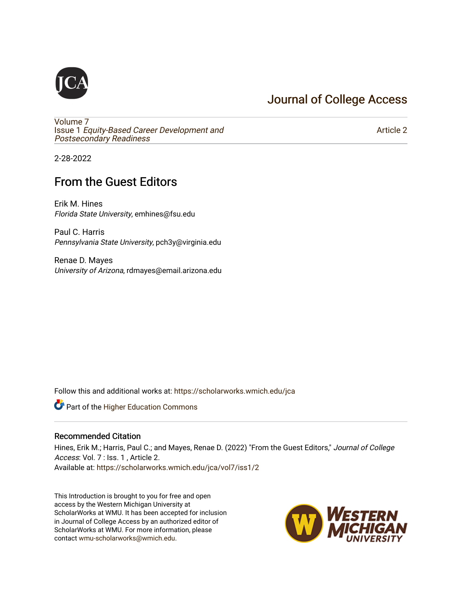## [Journal of College Access](https://scholarworks.wmich.edu/jca)

[Volume 7](https://scholarworks.wmich.edu/jca/vol7) Issue 1 [Equity-Based Career Development and](https://scholarworks.wmich.edu/jca/vol7/iss1) Postsecondary Readiness

[Article 2](https://scholarworks.wmich.edu/jca/vol7/iss1/2) 

2-28-2022

# From the Guest Editors

Erik M. Hines Florida State University, emhines@fsu.edu

Paul C. Harris Pennsylvania State University, pch3y@virginia.edu

Renae D. Mayes University of Arizona, rdmayes@email.arizona.edu

Follow this and additional works at: [https://scholarworks.wmich.edu/jca](https://scholarworks.wmich.edu/jca?utm_source=scholarworks.wmich.edu%2Fjca%2Fvol7%2Fiss1%2F2&utm_medium=PDF&utm_campaign=PDFCoverPages)

**Part of the Higher Education Commons** 

#### Recommended Citation

Hines, Erik M.; Harris, Paul C.; and Mayes, Renae D. (2022) "From the Guest Editors," Journal of College Access: Vol. 7 : Iss. 1 , Article 2. Available at: [https://scholarworks.wmich.edu/jca/vol7/iss1/2](https://scholarworks.wmich.edu/jca/vol7/iss1/2?utm_source=scholarworks.wmich.edu%2Fjca%2Fvol7%2Fiss1%2F2&utm_medium=PDF&utm_campaign=PDFCoverPages) 

This Introduction is brought to you for free and open access by the Western Michigan University at ScholarWorks at WMU. It has been accepted for inclusion in Journal of College Access by an authorized editor of ScholarWorks at WMU. For more information, please contact [wmu-scholarworks@wmich.edu](mailto:wmu-scholarworks@wmich.edu).

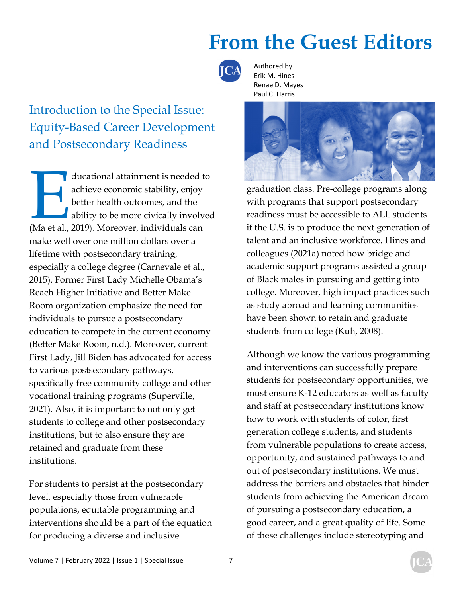

Authored by Erik M. Hines Renae D. Mayes Paul C. Harris



ducational attainment is needed to<br>
achieve economic stability, enjoy<br>
better health outcomes, and the<br>
ability to be more civically involved<br>
(Ma et al., 2019). Moreover, individuals can achieve economic stability, enjoy better health outcomes, and the ability to be more civically involved make well over one million dollars over a lifetime with postsecondary training, especially a college degree (Carnevale et al., 2015). Former First Lady Michelle Obama's Reach Higher Initiative and Better Make Room organization emphasize the need for individuals to pursue a postsecondary education to compete in the current economy (Better Make Room, n.d.). Moreover, current First Lady, Jill Biden has advocated for access to various postsecondary pathways, specifically free community college and other vocational training programs (Superville, 2021). Also, it is important to not only get students to college and other postsecondary institutions, but to also ensure they are retained and graduate from these institutions.

For students to persist at the postsecondary level, especially those from vulnerable populations, equitable programming and interventions should be a part of the equation for producing a diverse and inclusive



graduation class. Pre-college programs along with programs that support postsecondary readiness must be accessible to ALL students if the U.S. is to produce the next generation of talent and an inclusive workforce. Hines and colleagues (2021a) noted how bridge and academic support programs assisted a group of Black males in pursuing and getting into college. Moreover, high impact practices such as study abroad and learning communities have been shown to retain and graduate students from college (Kuh, 2008).

Although we know the various programming and interventions can successfully prepare students for postsecondary opportunities, we must ensure K-12 educators as well as faculty and staff at postsecondary institutions know how to work with students of color, first generation college students, and students from vulnerable populations to create access, opportunity, and sustained pathways to and out of postsecondary institutions. We must address the barriers and obstacles that hinder students from achieving the American dream of pursuing a postsecondary education, a good career, and a great quality of life. Some of these challenges include stereotyping and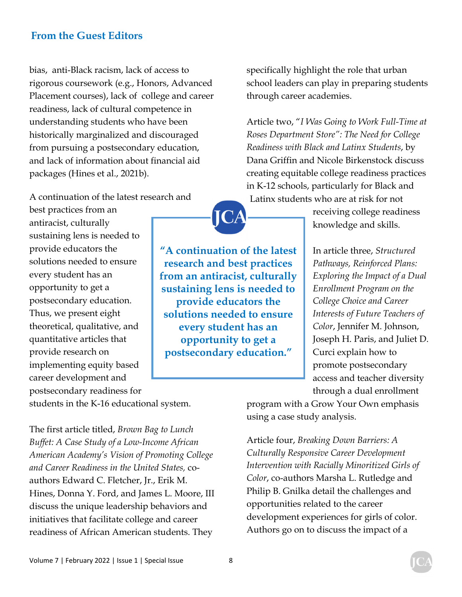bias, anti-Black racism, lack of access to rigorous coursework (e.g., Honors, Advanced Placement courses), lack of college and career readiness, lack of cultural competence in understanding students who have been historically marginalized and discouraged from pursuing a postsecondary education, and lack of information about financial aid packages (Hines et al., 2021b).

A continuation of the latest research and

best practices from an antiracist, culturally sustaining lens is needed to provide educators the solutions needed to ensure every student has an opportunity to get a postsecondary education. Thus, we present eight theoretical, qualitative, and quantitative articles that provide research on implementing equity based career development and postsecondary readiness for

**"A continuation of the latest research and best practices from an antiracist, culturally sustaining lens is needed to provide educators the solutions needed to ensure every student has an opportunity to get a postsecondary education."** 

specifically highlight the role that urban school leaders can play in preparing students through career academies.

Article two, "*I Was Going to Work Full-Time at Roses Department Store": The Need for College Readiness with Black and Latinx Students*, by Dana Griffin and Nicole Birkenstock discuss creating equitable college readiness practices in K-12 schools, particularly for Black and Latinx students who are at risk for not

> receiving college readiness knowledge and skills.

In article three, *Structured Pathways, Reinforced Plans: Exploring the Impact of a Dual Enrollment Program on the College Choice and Career Interests of Future Teachers of Color*, Jennifer M. Johnson, Joseph H. Paris, and Juliet D. Curci explain how to promote postsecondary access and teacher diversity through a dual enrollment

students in the K-16 educational system.

The first article titled, *Brown Bag to Lunch Buffet: A Case Study of a Low-Income African American Academy's Vision of Promoting College and Career Readiness in the United States,* coauthors Edward C. Fletcher, Jr., Erik M. Hines, Donna Y. Ford, and James L. Moore, III discuss the unique leadership behaviors and initiatives that facilitate college and career readiness of African American students. They

program with a Grow Your Own emphasis using a case study analysis.

Article four, *Breaking Down Barriers: A Culturally Responsive Career Development Intervention with Racially Minoritized Girls of Color*, co-authors Marsha L. Rutledge and Philip B. Gnilka detail the challenges and opportunities related to the career development experiences for girls of color. Authors go on to discuss the impact of a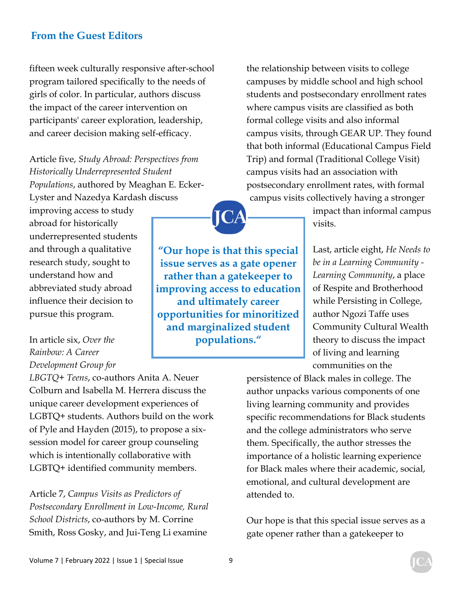fifteen week culturally responsive after-school program tailored specifically to the needs of girls of color. In particular, authors discuss the impact of the career intervention on participants' career exploration, leadership, and career decision making self-efficacy.

Article five, *Study Abroad: Perspectives from Historically Underrepresented Student Populations*, authored by Meaghan E. Ecker-Lyster and Nazedya Kardash discuss

improving access to study abroad for historically underrepresented students and through a qualitative research study, sought to understand how and abbreviated study abroad influence their decision to pursue this program.

### In article six, *Over the Rainbow: A Career Development Group for*

*LBGTQ+ Teens*, co-authors Anita A. Neuer Colburn and Isabella M. Herrera discuss the unique career development experiences of LGBTQ+ students. Authors build on the work of Pyle and Hayden (2015), to propose a sixsession model for career group counseling which is intentionally collaborative with LGBTQ+ identified community members.

Article 7, *Campus Visits as Predictors of Postsecondary Enrollment in Low-Income, Rural School Districts*, co-authors by M. Corrine Smith, Ross Gosky, and Jui-Teng Li examine

the relationship between visits to college campuses by middle school and high school students and postsecondary enrollment rates where campus visits are classified as both formal college visits and also informal campus visits, through GEAR UP. They found that both informal (Educational Campus Field Trip) and formal (Traditional College Visit) campus visits had an association with postsecondary enrollment rates, with formal campus visits collectively having a stronger

> impact than informal campus visits.

Last, article eight, *He Needs to be in a Learning Community - Learning Community*, a place of Respite and Brotherhood while Persisting in College, author Ngozi Taffe uses Community Cultural Wealth theory to discuss the impact of living and learning communities on the

persistence of Black males in college. The author unpacks various components of one living learning community and provides specific recommendations for Black students and the college administrators who serve them. Specifically, the author stresses the importance of a holistic learning experience for Black males where their academic, social, emotional, and cultural development are attended to.

Our hope is that this special issue serves as a gate opener rather than a gatekeeper to

**"Our hope is that this special issue serves as a gate opener rather than a gatekeeper to improving access to education and ultimately career opportunities for minoritized and marginalized student populations."**